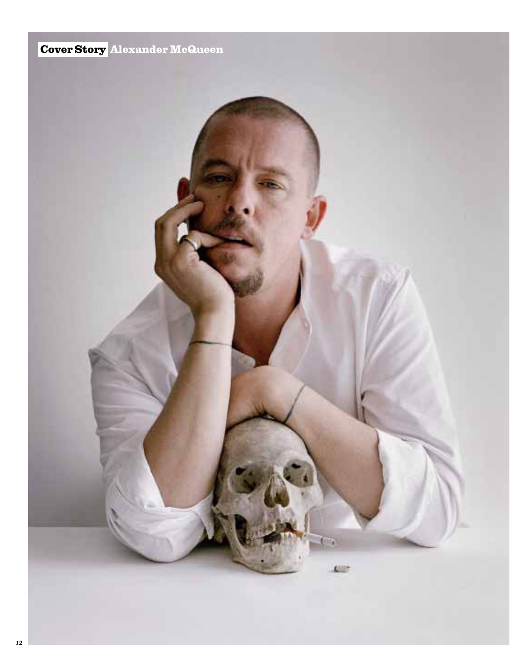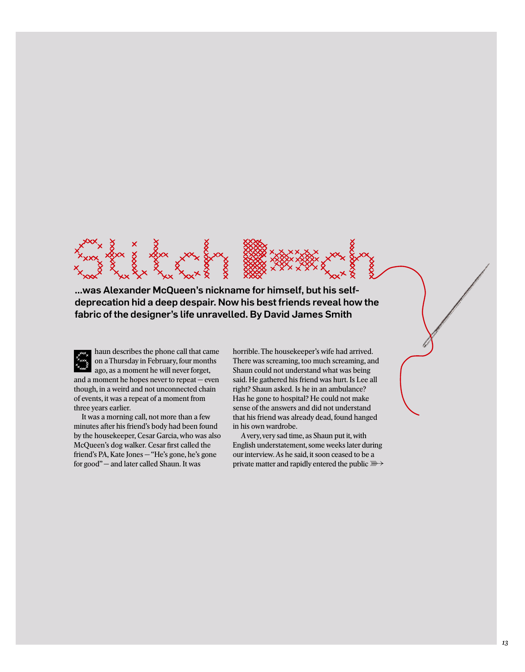

...was Alexander McQueen's nickname for himself, but his selfdeprecation hid a deep despair. Now his best friends reveal how the fabric of the designer's life unravelled. By David James Smith

haun describes the phone call that came on a Thursday in February, four months ago, as a moment he will never forget, and a moment he hopes never to repeat — even though, in a weird and not unconnected chain of events, it was a repeat of a moment from

It was a morning call, not more than a few minutes after his friend's body had been found by the housekeeper, Cesar Garcia, who was also McQueen's dog walker. Cesar first called the friend's PA, Kate Jones — "He's gone, he's gone for good" — and later called Shaun. It was

three years earlier.

horrible. The housekeeper's wife had arrived. There was screaming, too much screaming, and Shaun could not understand what was being said. He gathered his friend was hurt. Is Lee all right? Shaun asked. Is he in an ambulance? Has he gone to hospital? He could not make sense of the answers and did not understand that his friend was already dead, found hanged in his own wardrobe.

A very, very sad time, as Shaun put it, with English understatement, some weeks later during our interview. As he said, it soon ceased to be a private matter and rapidly entered the public  $\mathbb{R}$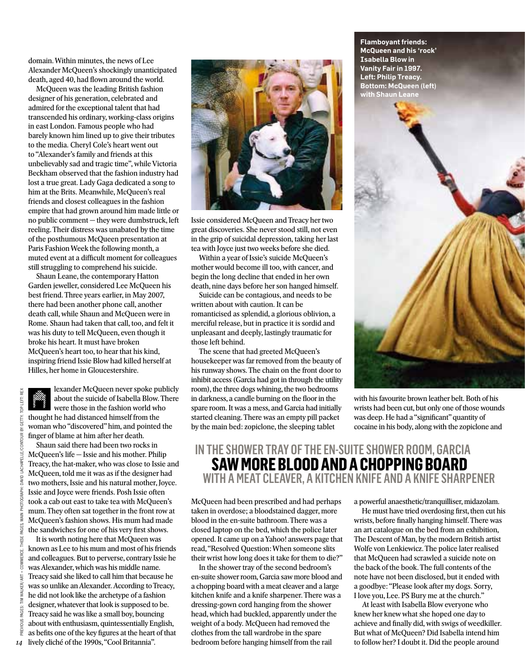domain. Within minutes, the news of Lee Alexander McQueen's shockingly unanticipated death, aged 40, had flown around the world.

McQueen was the leading British fashion designer of his generation, celebrated and admired for the exceptional talent that had transcended his ordinary, working-class origins in east London. Famous people who had barely known him lined up to give their tributes to the media. Cheryl Cole's heart went out to "Alexander's family and friends at this unbelievably sad and tragic time", while Victoria Beckham observed that the fashion industry had lost a true great. Lady Gaga dedicated a song to him at the Brits. Meanwhile, McQueen's real friends and closest colleagues in the fashion empire that had grown around him made little or no public comment — they were dumbstruck, left reeling. Their distress was unabated by the time of the posthumous McQueen presentation at Paris Fashion Week the following month, a muted event at a difficult moment for colleagues still struggling to comprehend his suicide.

Shaun Leane, the contemporary Hatton Garden jeweller, considered Lee McQueen his best friend. Three years earlier, in May 2007, there had been another phone call, another death call, while Shaun and McQueen were in Rome. Shaun had taken that call, too, and felt it was his duty to tell McQueen, even though it broke his heart. It must have broken McQueen's heart too, to hear that his kind, inspiring friend Issie Blow had killed herself at Hilles, her home in Gloucestershire.

OP LEFT: REX previous pages: tim walker/art + commerce. these pages, main photograph: david lachapelle/contour by getty. top left: rexGETTY. FILE/CONTOUR BY DAVID LACHAP AGES. COMMER VALKER/ART M PAGFS: inus PRE

lexander McQueen never spoke publicly about the suicide of Isabella Blow. There were those in the fashion world who thought he had distanced himself from the woman who "discovered" him, and pointed the finger of blame at him after her death.

Shaun said there had been two rocks in McQueen's life — Issie and his mother. Philip Treacy, the hat-maker, who was close to Issie and McQueen, told me it was as if the designer had two mothers, Issie and his natural mother, Joyce. Issie and Joyce were friends. Posh Issie often took a cab out east to take tea with McQueen's mum. They often sat together in the front row at McQueen's fashion shows. His mum had made the sandwiches for one of his very first shows.

It is worth noting here that McQueen was known as Lee to his mum and most of his friends and colleagues. But to perverse, contrary Issie he was Alexander, which was his middle name. Treacy said she liked to call him that because he was so unlike an Alexander. According to Treacy, he did not look like the archetype of a fashion designer, whatever that look is supposed to be. Treacy said he was like a small boy, bouncing about with enthusiasm, quintessentially English, as befits one of the key figures at the heart of that 14 lively cliché of the 1990s, "Cool Britannia".



Issie considered McQueen and Treacy her two great discoveries. She never stood still, not even in the grip of suicidal depression, taking her last tea with Joyce just two weeks before she died.

Within a year of Issie's suicide McQueen's mother would become ill too, with cancer, and begin the long decline that ended in her own death, nine days before her son hanged himself.

Suicide can be contagious, and needs to be written about with caution. It can be romanticised as splendid, a glorious oblivion, a merciful release, but in practice it is sordid and unpleasant and deeply, lastingly traumatic for those left behind.

The scene that had greeted McQueen's housekeeper was far removed from the beauty of his runway shows. The chain on the front door to inhibit access (Garcia had got in through the utility room), the three dogs whining, the two bedrooms in darkness, a candle burning on the floor in the spare room. It was a mess, and Garcia had initially started cleaning. There was an empty pill packet by the main bed: zopiclone, the sleeping tablet

**Flamboyant friends: McQueen and his 'rock' Isabella Blow in Vanity Fair in 1997. Left: Philip Treacy. Bottom: McQueen (left)** 



with his favourite brown leather belt. Both of his wrists had been cut, but only one of those wounds was deep. He had a "significant" quantity of cocaine in his body, along with the zopiclone and

### IN THE SHOWER tray of the EN-SUITE shower room, GARCIA  **SAW MORE BLOOD AND A CHOPPING BOARD**  with AMEAT CLEAVER, A KITCHEN KNIFE AND A KNIFE SHARPENER

McQueen had been prescribed and had perhaps taken in overdose; a bloodstained dagger, more blood in the en-suite bathroom. There was a closed laptop on the bed, which the police later opened. It came up on a Yahoo! answers page that read, "Resolved Question: When someone slits their wrist how long does it take for them to die?"

In the shower tray of the second bedroom's en-suite shower room, Garcia saw more blood and a chopping board with a meat cleaver and a large kitchen knife and a knife sharpener. There was a dressing-gown cord hanging from the shower head, which had buckled, apparently under the weight of a body. McQueen had removed the clothes from the tall wardrobe in the spare bedroom before hanging himself from the rail

a powerful anaesthetic/tranquilliser, midazolam.

He must have tried overdosing first, then cut his wrists, before finally hanging himself. There was an art catalogue on the bed from an exhibition, The Descent of Man, by the modern British artist Wolfe von Lenkiewicz. The police later realised that McQueen had scrawled a suicide note on the back of the book. The full contents of the note have not been disclosed, but it ended with a goodbye: "Please look after my dogs. Sorry, I love you, Lee. PS Bury me at the church."

At least with Isabella Blow everyone who knew her knew what she hoped one day to achieve and finally did, with swigs of weedkiller. But what of McQueen? Did Isabella intend him to follow her? I doubt it. Did the people around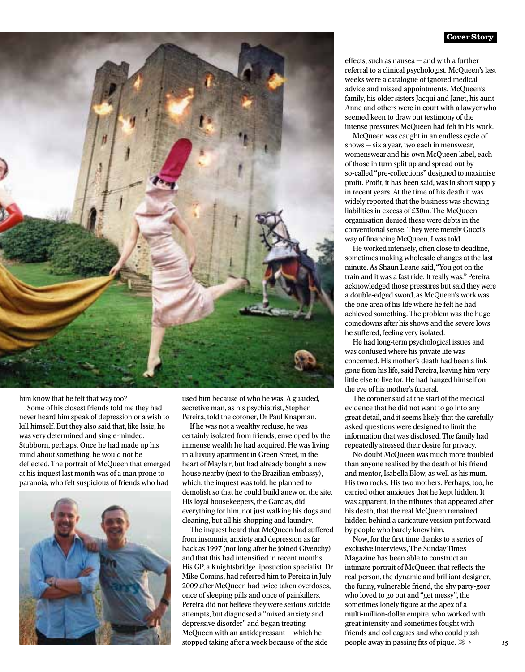### **Cover Story**



him know that he felt that way too?

Some of his closest friends told me they had never heard him speak of depression or a wish to kill himself. But they also said that, like Issie, he was very determined and single-minded. Stubborn, perhaps. Once he had made up his mind about something, he would not be deflected. The portrait of McQueen that emerged at his inquest last month was of a man prone to paranoia, who felt suspicious of friends who had



used him because of who he was. A guarded, secretive man, as his psychiatrist, Stephen Pereira, told the coroner, Dr Paul Knapman.

If he was not a wealthy recluse, he was certainly isolated from friends, enveloped by the immense wealth he had acquired. He was living in a luxury apartment in Green Street, in the heart of Mayfair, but had already bought a new house nearby (next to the Brazilian embassy), which, the inquest was told, he planned to demolish so that he could build anew on the site. His loyal housekeepers, the Garcias, did everything for him, not just walking his dogs and cleaning, but all his shopping and laundry.

The inquest heard that McQueen had suffered from insomnia, anxiety and depression as far back as 1997 (not long after he joined Givenchy) and that this had intensified in recent months. His GP, a Knightsbridge liposuction specialist, Dr Mike Comins, had referred him to Pereira in July 2009 after McQueen had twice taken overdoses, once of sleeping pills and once of painkillers. Pereira did not believe they were serious suicide attempts, but diagnosed a "mixed anxiety and depressive disorder" and began treating McQueen with an antidepressant — which he stopped taking after a week because of the side

effects, such as nausea — and with a further referral to a clinical psychologist. McQueen's last weeks were a catalogue of ignored medical advice and missed appointments. McQueen's family, his older sisters Jacqui and Janet, his aunt Anne and others were in court with a lawyer who seemed keen to draw out testimony of the intense pressures McQueen had felt in his work.

McQueen was caught in an endless cycle of shows — six a year, two each in menswear, womenswear and his own McQueen label, each of those in turn split up and spread out by so-called "pre-collections" designed to maximise profit. Profit, it has been said, was in short supply in recent years. At the time of his death it was widely reported that the business was showing liabilities in excess of £30m. The McQueen organisation denied these were debts in the conventional sense. They were merely Gucci's way of financing McQueen, I was told.

He worked intensely, often close to deadline, sometimes making wholesale changes at the last minute. As Shaun Leane said, "You got on the train and it was a fast ride. It really was." Pereira acknowledged those pressures but said they were a double-edged sword, as McQueen's work was the one area of his life where he felt he had achieved something. The problem was the huge comedowns after his shows and the severe lows he suffered, feeling very isolated.

He had long-term psychological issues and was confused where his private life was concerned. His mother's death had been a link gone from his life, said Pereira, leaving him very little else to live for. He had hanged himself on the eve of his mother's funeral.

The coroner said at the start of the medical evidence that he did not want to go into any great detail, and it seems likely that the carefully asked questions were designed to limit the information that was disclosed. The family had repeatedly stressed their desire for privacy.

No doubt McQueen was much more troubled than anyone realised by the death of his friend and mentor, Isabella Blow, as well as his mum. His two rocks. His two mothers. Perhaps, too, he carried other anxieties that he kept hidden. It was apparent, in the tributes that appeared after his death, that the real McQueen remained hidden behind a caricature version put forward by people who barely knew him.

Now, for the first time thanks to a series of exclusive interviews, The Sunday Times Magazine has been able to construct an intimate portrait of McQueen that reflects the real person, the dynamic and brilliant designer, the funny, vulnerable friend, the shy party-goer who loved to go out and "get messy", the sometimes lonely figure at the apex of a multi-million-dollar empire, who worked with great intensity and sometimes fought with friends and colleagues and who could push people away in passing fits of pique.  $\mathbb{R}$   $\rightarrow$  15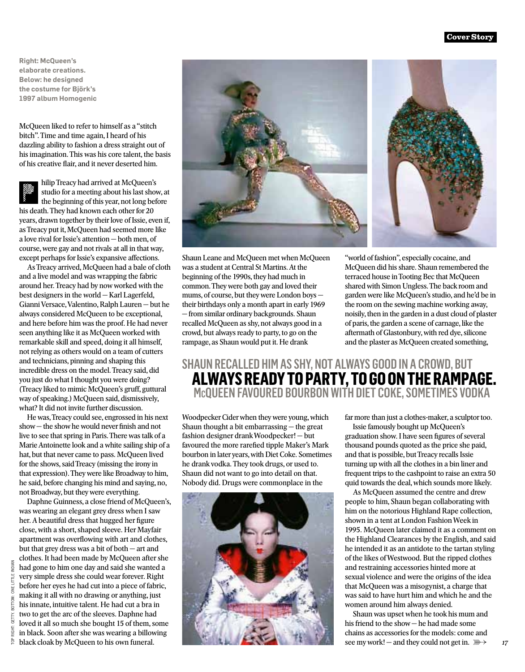**Right: McQueen's elaborate creations. Below: he designed the costume for Björk's 1997 album Homogenic**

McQueen liked to refer to himself as a "stitch bitch". Time and time again, I heard of his dazzling ability to fashion a dress straight out of his imagination. This was his core talent, the basis of his creative flair, and it never deserted him.

hilip Treacy had arrived at McQueen's studio for a meeting about his last show, at the beginning of this year, not long before his death. They had known each other for 20 years, drawn together by their love of Issie, even if, as Treacy put it, McQueen had seemed more like a love rival for Issie's attention — both men, of course, were gay and not rivals at all in that way, except perhaps for Issie's expansive affections.

As Treacy arrived, McQueen had a bale of cloth and a live model and was wrapping the fabric around her. Treacy had by now worked with the best designers in the world — Karl Lagerfeld, Gianni Versace, Valentino, Ralph Lauren — but he always considered McQueen to be exceptional, and here before him was the proof. He had never seen anything like it as McQueen worked with remarkable skill and speed, doing it all himself, not relying as others would on a team of cutters and technicians, pinning and shaping this incredible dress on the model. Treacy said, did you just do what I thought you were doing? (Treacy liked to mimic McQueen's gruff, guttural way of speaking.) McQueen said, dismissively, what? It did not invite further discussion.

He was, Treacy could see, engrossed in his next show — the show he would never finish and not live to see that spring in Paris. There was talk of a Marie Antoinette look and a white sailing ship of a hat, but that never came to pass. McQueen lived for the shows, said Treacy (missing the irony in that expression). They were like Broadway to him, he said, before changing his mind and saying, no, not Broadway, but they were everything.

Daphne Guinness, a close friend of McQueen's, was wearing an elegant grey dress when I saw her. A beautiful dress that hugged her figure close, with a short, shaped sleeve. Her Mayfair apartment was overflowing with art and clothes, but that grey dress was a bit of both — art and clothes. It had been made by McQueen after she had gone to him one day and said she wanted a very simple dress she could wear forever. Right before her eyes he had cut into a piece of fabric, making it all with no drawing or anything, just his innate, intuitive talent. He had cut a bra in two to get the arc of the sleeves. Daphne had loved it all so much she bought 15 of them, some in black. Soon after she was wearing a billowing black cloak by McQueen to his own funeral.



Shaun Leane and McQueen met when McQueen was a student at Central St Martins. At the beginning of the 1990s, they had much in common. They were both gay and loved their mums, of course, but they were London boys their birthdays only a month apart in early 1969 — from similar ordinary backgrounds. Shaun recalled McQueen as shy, not always good in a crowd, but always ready to party, to go on the rampage, as Shaun would put it. He drank

"world of fashion", especially cocaine, and McQueen did his share. Shaun remembered the terraced house in Tooting Bec that McQueen shared with Simon Ungless. The back room and garden were like McQueen's studio, and he'd be in the room on the sewing machine working away, noisily, then in the garden in a dust cloud of plaster of paris, the garden a scene of carnage, like the aftermath of Glastonbury, with red dye, silicone and the plaster as McQueen created something,

# SHAUN RECALLED HIM AS SHY, NOT ALWAYS GOOD IN A CROWD, BUT **ALWAYS READY TO PARTY, TO GO ON THE RAMPAGE.**<br>
McQUEEN FAVOURED BOURBON WITH DIET COKE, SOMETIMES VODKA

Woodpecker Cider when they were young, which Shaun thought a bit embarrassing — the great fashion designer drank Woodpecker! — but favoured the more rarefied tipple Maker's Mark bourbon in later years, with Diet Coke. Sometimes he drank vodka. They took drugs, or used to. Shaun did not want to go into detail on that. Nobody did. Drugs were commonplace in the



far more than just a clothes-maker, a sculptor too.

Issie famously bought up McQueen's graduation show. I have seen figures of several thousand pounds quoted as the price she paid, and that is possible, but Treacy recalls Issie turning up with all the clothes in a bin liner and frequent trips to the cashpoint to raise an extra 50 quid towards the deal, which sounds more likely.

As McQueen assumed the centre and drew people to him, Shaun began collaborating with him on the notorious Highland Rape collection, shown in a tent at London Fashion Week in 1995. McQueen later claimed it as a comment on the Highland Clearances by the English, and said he intended it as an antidote to the tartan styling of the likes of Westwood. But the ripped clothes and restraining accessories hinted more at sexual violence and were the origins of the idea that McQueen was a misogynist, a charge that was said to have hurt him and which he and the women around him always denied.

Shaun was upset when he took his mum and his friend to the show — he had made some chains as accessories for the models: come and see my work! — and they could not get in.  $\mathbb{R} \rightarrow$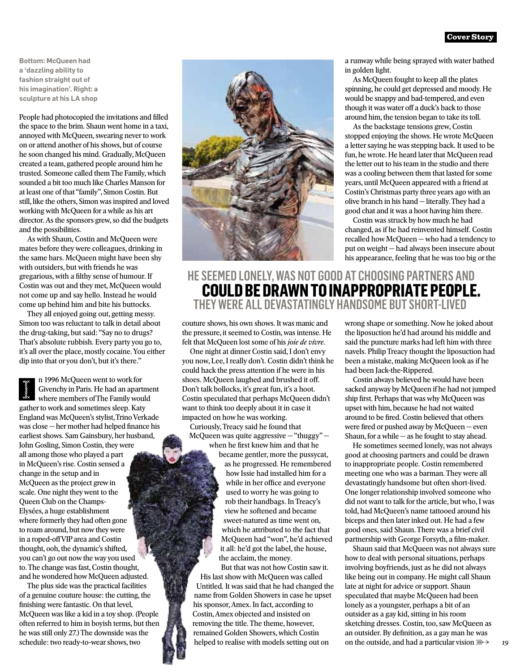**Bottom: McQueen had a 'dazzling ability to fashion straight out of his imagination'. Right: a sculpture at his LA shop**

People had photocopied the invitations and filled the space to the brim. Shaun went home in a taxi, annoyed with McQueen, swearing never to work on or attend another of his shows, but of course he soon changed his mind. Gradually, McQueen created a team, gathered people around him he trusted. Someone called them The Family, which sounded a bit too much like Charles Manson for at least one of that "family", Simon Costin. But still, like the others, Simon was inspired and loved working with McQueen for a while as his art director. As the sponsors grew, so did the budgets and the possibilities.

As with Shaun, Costin and McQueen were mates before they were colleagues, drinking in the same bars. McQueen might have been shy with outsiders, but with friends he was gregarious, with a filthy sense of humour. If Costin was out and they met, McQueen would not come up and say hello. Instead he would come up behind him and bite his buttocks.

They all enjoyed going out, getting messy. Simon too was reluctant to talk in detail about the drug-taking, but said: "Say no to drugs? That's absolute rubbish. Every party you go to, it's all over the place, mostly cocaine. You either dip into that or you don't, but it's there."

n 1996 McQueen went to work for Givenchy in Paris. He had an apartment where members of The Family would gather to work and sometimes sleep. Katy England was McQueen's stylist, Trino Verkade was close — her mother had helped finance his earliest shows. Sam Gainsbury, her husband, John Gosling, Simon Costin, they were all among those who played a part in McQueen's rise. Costin sensed a change in the setup and in McQueen as the project grew in scale. One night they went to the Queen Club on the Champs-Elysées, a huge establishment where formerly they had often gone to roam around, but now they were in a roped-off VIP area and Costin thought, ooh, the dynamic's shifted, you can't go out now the way you used to. The change was fast, Costin thought, and he wondered how McQueen adjusted.

The plus side was the practical facilities of a genuine couture house: the cutting, the finishing were fantastic. On that level, McQueen was like a kid in a toy shop. (People often referred to him in boyish terms, but then he was still only 27.) The downside was the schedule: two ready-to-wear shows, two



a runway while being sprayed with water bathed in golden light.

As McQueen fought to keep all the plates spinning, he could get depressed and moody. He would be snappy and bad-tempered, and even though it was water off a duck's back to those around him, the tension began to take its toll.

As the backstage tensions grew, Costin stopped enjoying the shows. He wrote McQueen a letter saying he was stepping back. It used to be fun, he wrote. He heard later that McQueen read the letter out to his team in the studio and there was a cooling between them that lasted for some years, until McQueen appeared with a friend at Costin's Christmas party three years ago with an olive branch in his hand — literally. They had a good chat and it was a hoot having him there.

Costin was struck by how much he had changed, as if he had reinvented himself. Costin recalled how McQueen — who had a tendency to put on weight — had always been insecure about his appearance, feeling that he was too big or the

## HE SEEMED LONELY, WAS NOT GOOD AT CHOOSING PARTNERS A **COULD BE DRAWN TO INAPPROPRIATE PEOPLE.**<br>THEY WERE ALL DEVASTATINGLY HANDSOME BUT SHORT-LIVED

couture shows, his own shows. It was manic and the pressure, it seemed to Costin, was intense. He felt that McQueen lost some of his *joie de vivre*.

One night at dinner Costin said, I don't envy you now, Lee, I really don't. Costin didn't think he could hack the press attention if he were in his shoes. McQueen laughed and brushed it off. Don't talk bollocks, it's great fun, it's a hoot. Costin speculated that perhaps McQueen didn't want to think too deeply about it in case it impacted on how he was working. Curiously, Treacy said he found that

McQueen was quite aggressive — "thuggy" when he first knew him and that he

became gentler, more the pussycat, as he progressed. He remembered how Issie had installed him for a while in her office and everyone used to worry he was going to rob their handbags. In Treacy's view he softened and became sweet-natured as time went on, which he attributed to the fact that McQueen had "won", he'd achieved it all: he'd got the label, the house, the acclaim, the money.

But that was not how Costin saw it. His last show with McQueen was called Untitled. It was said that he had changed the name from Golden Showers in case he upset his sponsor, Amex. In fact, according to Costin, Amex objected and insisted on removing the title. The theme, however, remained Golden Showers, which Costin helped to realise with models setting out on

wrong shape or something. Now he joked about the liposuction he'd had around his middle and said the puncture marks had left him with three navels. Philip Treacy thought the liposuction had been a mistake, making McQueen look as if he had been Jack-the-Rippered.

Costin always believed he would have been sacked anyway by McQueen if he had not jumped ship first. Perhaps that was why McQueen was upset with him, because he had not waited around to be fired. Costin believed that others were fired or pushed away by McQueen — even Shaun, for a while  $-$  as he fought to stay ahead.

He sometimes seemed lonely, was not always good at choosing partners and could be drawn to inappropriate people. Costin remembered meeting one who was a barman. They were all devastatingly handsome but often short-lived. One longer relationship involved someone who did not want to talk for the article, but who, I was told, had McQueen's name tattooed around his biceps and then later inked out. He had a few good ones, said Shaun. There was a brief civil partnership with George Forsyth, a film-maker.

Shaun said that McQueen was not always sure how to deal with personal situations, perhaps involving boyfriends, just as he did not always like being out in company. He might call Shaun late at night for advice or support. Shaun speculated that maybe McQueen had been lonely as a youngster, perhaps a bit of an outsider as a gay kid, sitting in his room sketching dresses. Costin, too, saw McQueen as an outsider. By definition, as a gay man he was on the outside, and had a particular vision  $\mathbb{R}$